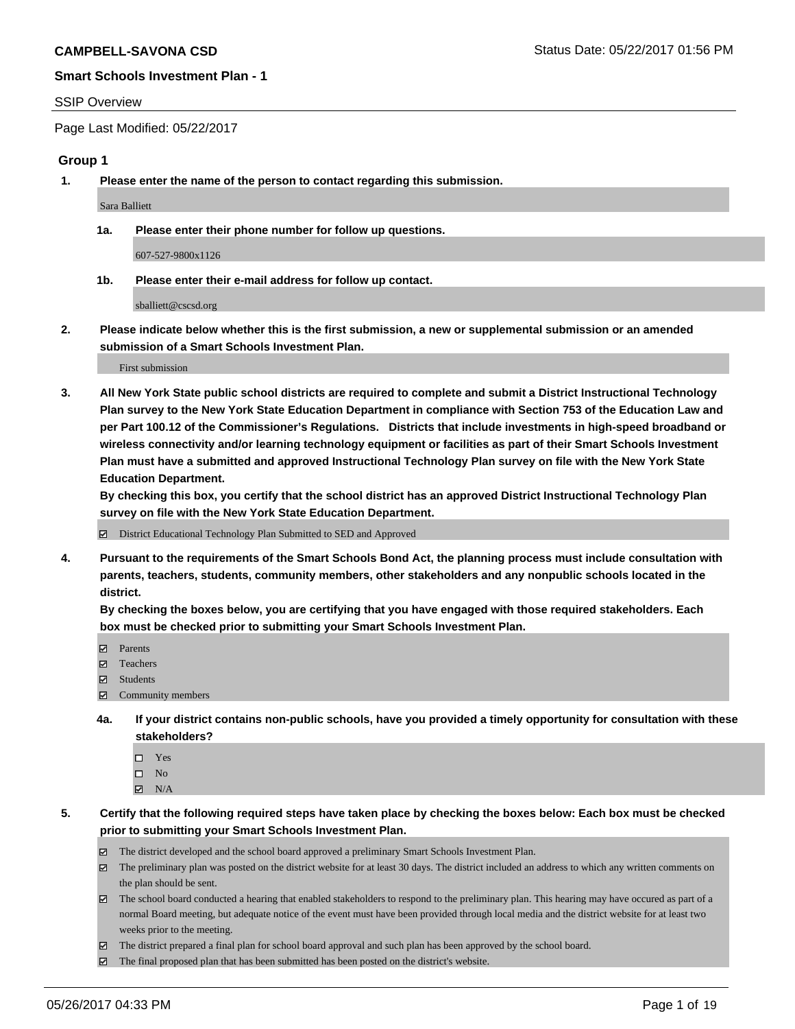#### SSIP Overview

Page Last Modified: 05/22/2017

## **Group 1**

**1. Please enter the name of the person to contact regarding this submission.**

Sara Balliett

**1a. Please enter their phone number for follow up questions.**

607-527-9800x1126

**1b. Please enter their e-mail address for follow up contact.**

sballiett@cscsd.org

**2. Please indicate below whether this is the first submission, a new or supplemental submission or an amended submission of a Smart Schools Investment Plan.**

First submission

**3. All New York State public school districts are required to complete and submit a District Instructional Technology Plan survey to the New York State Education Department in compliance with Section 753 of the Education Law and per Part 100.12 of the Commissioner's Regulations. Districts that include investments in high-speed broadband or wireless connectivity and/or learning technology equipment or facilities as part of their Smart Schools Investment Plan must have a submitted and approved Instructional Technology Plan survey on file with the New York State Education Department.** 

**By checking this box, you certify that the school district has an approved District Instructional Technology Plan survey on file with the New York State Education Department.**

District Educational Technology Plan Submitted to SED and Approved

**4. Pursuant to the requirements of the Smart Schools Bond Act, the planning process must include consultation with parents, teachers, students, community members, other stakeholders and any nonpublic schools located in the district.** 

**By checking the boxes below, you are certifying that you have engaged with those required stakeholders. Each box must be checked prior to submitting your Smart Schools Investment Plan.**

- **マ** Parents
- □ Teachers
- Students
- $\Xi$  Community members
- **4a. If your district contains non-public schools, have you provided a timely opportunity for consultation with these stakeholders?**
	- Yes
	- $\hfill \square$  No
	- $\boxtimes$  N/A
- **5. Certify that the following required steps have taken place by checking the boxes below: Each box must be checked prior to submitting your Smart Schools Investment Plan.**
	- The district developed and the school board approved a preliminary Smart Schools Investment Plan.
	- $\boxtimes$  The preliminary plan was posted on the district website for at least 30 days. The district included an address to which any written comments on the plan should be sent.
	- $\boxtimes$  The school board conducted a hearing that enabled stakeholders to respond to the preliminary plan. This hearing may have occured as part of a normal Board meeting, but adequate notice of the event must have been provided through local media and the district website for at least two weeks prior to the meeting.
	- The district prepared a final plan for school board approval and such plan has been approved by the school board.
	- $\boxtimes$  The final proposed plan that has been submitted has been posted on the district's website.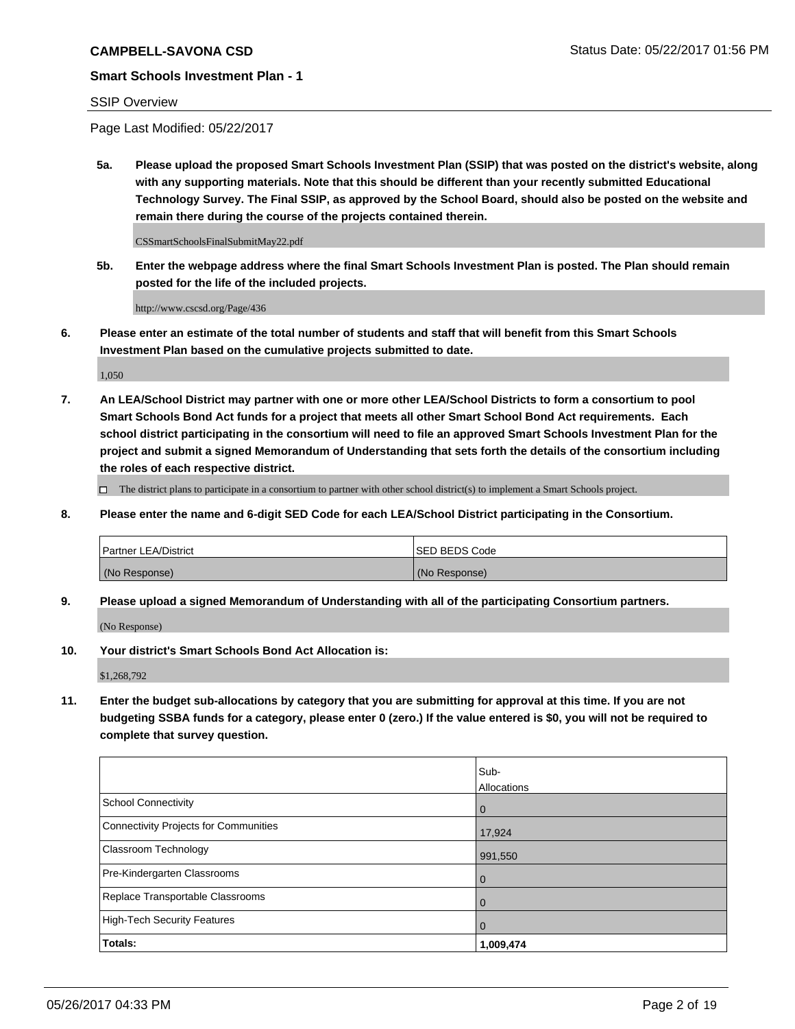#### SSIP Overview

Page Last Modified: 05/22/2017

**5a. Please upload the proposed Smart Schools Investment Plan (SSIP) that was posted on the district's website, along with any supporting materials. Note that this should be different than your recently submitted Educational Technology Survey. The Final SSIP, as approved by the School Board, should also be posted on the website and remain there during the course of the projects contained therein.**

CSSmartSchoolsFinalSubmitMay22.pdf

**5b. Enter the webpage address where the final Smart Schools Investment Plan is posted. The Plan should remain posted for the life of the included projects.**

http://www.cscsd.org/Page/436

**6. Please enter an estimate of the total number of students and staff that will benefit from this Smart Schools Investment Plan based on the cumulative projects submitted to date.**

1,050

**7. An LEA/School District may partner with one or more other LEA/School Districts to form a consortium to pool Smart Schools Bond Act funds for a project that meets all other Smart School Bond Act requirements. Each school district participating in the consortium will need to file an approved Smart Schools Investment Plan for the project and submit a signed Memorandum of Understanding that sets forth the details of the consortium including the roles of each respective district.**

 $\Box$  The district plans to participate in a consortium to partner with other school district(s) to implement a Smart Schools project.

**8. Please enter the name and 6-digit SED Code for each LEA/School District participating in the Consortium.**

| <b>Partner LEA/District</b> | <b>ISED BEDS Code</b> |
|-----------------------------|-----------------------|
| (No Response)               | (No Response)         |

**9. Please upload a signed Memorandum of Understanding with all of the participating Consortium partners.**

(No Response)

**10. Your district's Smart Schools Bond Act Allocation is:**

\$1,268,792

**11. Enter the budget sub-allocations by category that you are submitting for approval at this time. If you are not budgeting SSBA funds for a category, please enter 0 (zero.) If the value entered is \$0, you will not be required to complete that survey question.**

|                                              | Sub-<br>Allocations |
|----------------------------------------------|---------------------|
| <b>School Connectivity</b>                   | $\mathbf 0$         |
| <b>Connectivity Projects for Communities</b> | 17,924              |
| Classroom Technology                         | 991,550             |
| Pre-Kindergarten Classrooms                  | 0                   |
| Replace Transportable Classrooms             | 0                   |
| <b>High-Tech Security Features</b>           | $\overline{0}$      |
| Totals:                                      | 1,009,474           |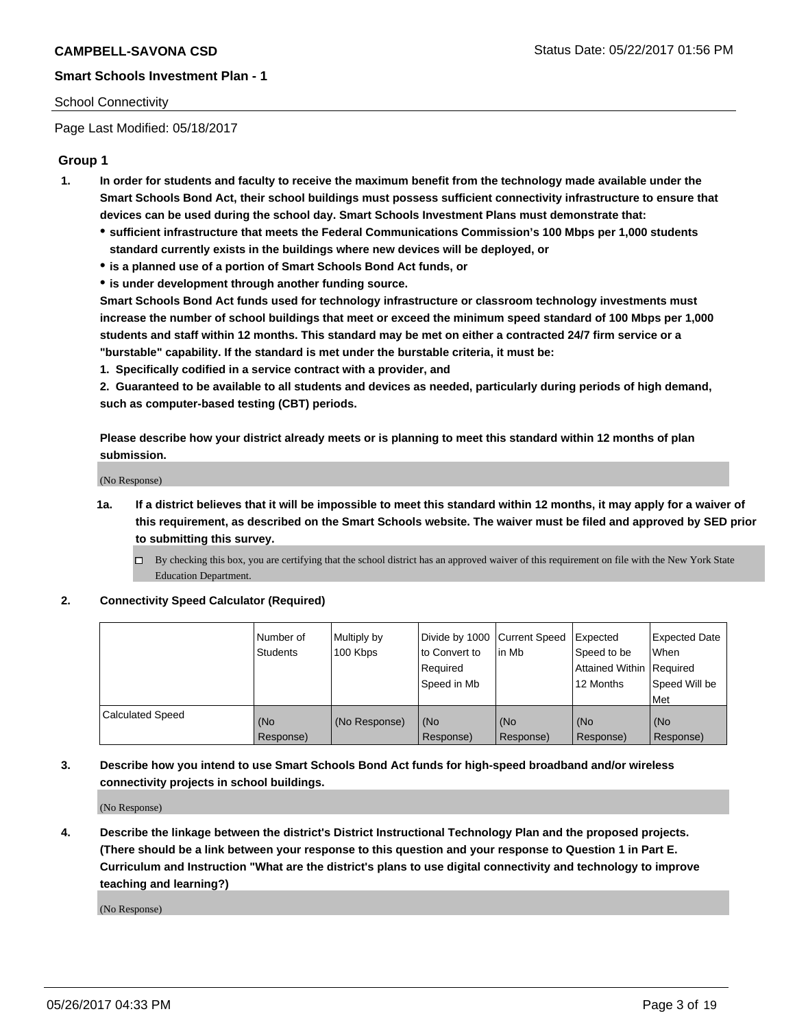#### School Connectivity

Page Last Modified: 05/18/2017

## **Group 1**

- **1. In order for students and faculty to receive the maximum benefit from the technology made available under the Smart Schools Bond Act, their school buildings must possess sufficient connectivity infrastructure to ensure that devices can be used during the school day. Smart Schools Investment Plans must demonstrate that:**
	- **sufficient infrastructure that meets the Federal Communications Commission's 100 Mbps per 1,000 students standard currently exists in the buildings where new devices will be deployed, or**
	- **is a planned use of a portion of Smart Schools Bond Act funds, or**
	- **is under development through another funding source.**

**Smart Schools Bond Act funds used for technology infrastructure or classroom technology investments must increase the number of school buildings that meet or exceed the minimum speed standard of 100 Mbps per 1,000 students and staff within 12 months. This standard may be met on either a contracted 24/7 firm service or a "burstable" capability. If the standard is met under the burstable criteria, it must be:**

**1. Specifically codified in a service contract with a provider, and**

**2. Guaranteed to be available to all students and devices as needed, particularly during periods of high demand, such as computer-based testing (CBT) periods.**

**Please describe how your district already meets or is planning to meet this standard within 12 months of plan submission.**

(No Response)

- **1a. If a district believes that it will be impossible to meet this standard within 12 months, it may apply for a waiver of this requirement, as described on the Smart Schools website. The waiver must be filed and approved by SED prior to submitting this survey.**
	- By checking this box, you are certifying that the school district has an approved waiver of this requirement on file with the New York State Education Department.

#### **2. Connectivity Speed Calculator (Required)**

|                         | l Number of<br><b>Students</b> | Multiply by<br>100 Kbps | Divide by 1000   Current Speed<br>to Convert to<br>Required<br>l Speed in Mb | in Mb            | Expected<br>Speed to be<br>Attained Within Required<br>12 Months | <b>Expected Date</b><br>When<br>Speed Will be<br><b>Met</b> |
|-------------------------|--------------------------------|-------------------------|------------------------------------------------------------------------------|------------------|------------------------------------------------------------------|-------------------------------------------------------------|
| <b>Calculated Speed</b> | (No<br>Response)               | (No Response)           | (No<br>Response)                                                             | (No<br>Response) | (No<br>Response)                                                 | l (No<br>Response)                                          |

## **3. Describe how you intend to use Smart Schools Bond Act funds for high-speed broadband and/or wireless connectivity projects in school buildings.**

(No Response)

**4. Describe the linkage between the district's District Instructional Technology Plan and the proposed projects. (There should be a link between your response to this question and your response to Question 1 in Part E. Curriculum and Instruction "What are the district's plans to use digital connectivity and technology to improve teaching and learning?)**

(No Response)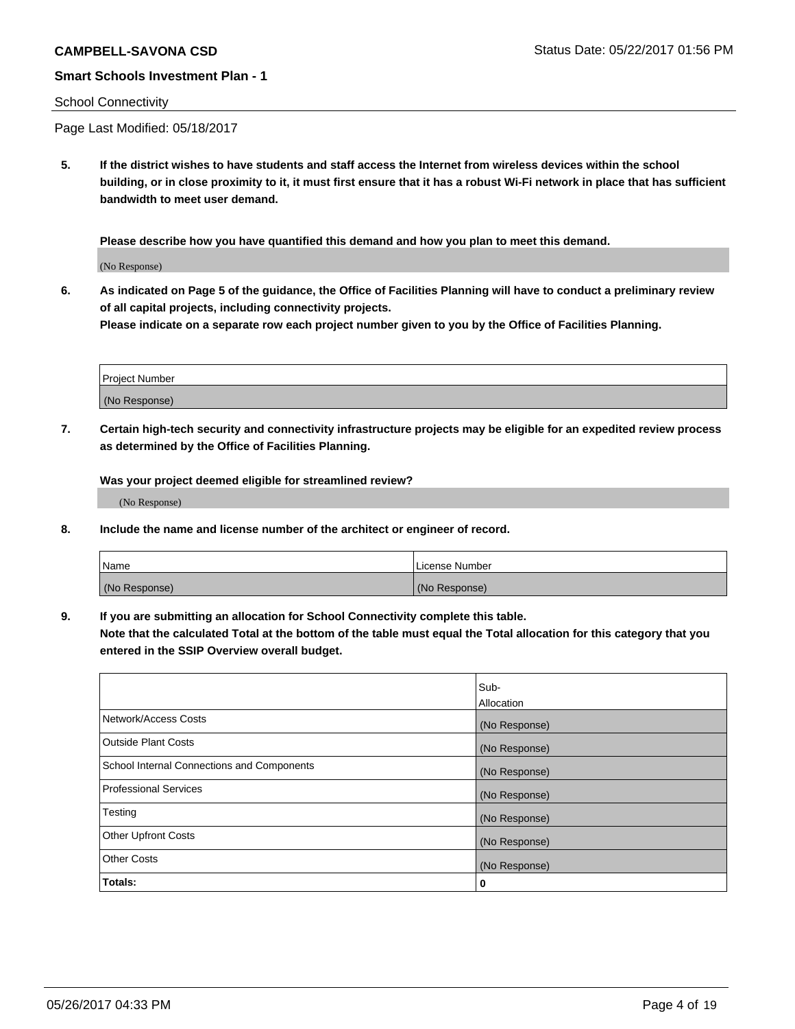#### School Connectivity

Page Last Modified: 05/18/2017

**5. If the district wishes to have students and staff access the Internet from wireless devices within the school building, or in close proximity to it, it must first ensure that it has a robust Wi-Fi network in place that has sufficient bandwidth to meet user demand.**

**Please describe how you have quantified this demand and how you plan to meet this demand.**

(No Response)

**6. As indicated on Page 5 of the guidance, the Office of Facilities Planning will have to conduct a preliminary review of all capital projects, including connectivity projects.**

**Please indicate on a separate row each project number given to you by the Office of Facilities Planning.**

| Project Number |  |
|----------------|--|
|                |  |
| (No Response)  |  |

**7. Certain high-tech security and connectivity infrastructure projects may be eligible for an expedited review process as determined by the Office of Facilities Planning.**

**Was your project deemed eligible for streamlined review?**

(No Response)

**8. Include the name and license number of the architect or engineer of record.**

| Name          | License Number |
|---------------|----------------|
| (No Response) | (No Response)  |

**9. If you are submitting an allocation for School Connectivity complete this table.**

**Note that the calculated Total at the bottom of the table must equal the Total allocation for this category that you entered in the SSIP Overview overall budget.** 

|                                            | Sub-          |
|--------------------------------------------|---------------|
|                                            | Allocation    |
| Network/Access Costs                       | (No Response) |
| Outside Plant Costs                        | (No Response) |
| School Internal Connections and Components | (No Response) |
| <b>Professional Services</b>               | (No Response) |
| Testing                                    | (No Response) |
| <b>Other Upfront Costs</b>                 | (No Response) |
| <b>Other Costs</b>                         | (No Response) |
| Totals:                                    | 0             |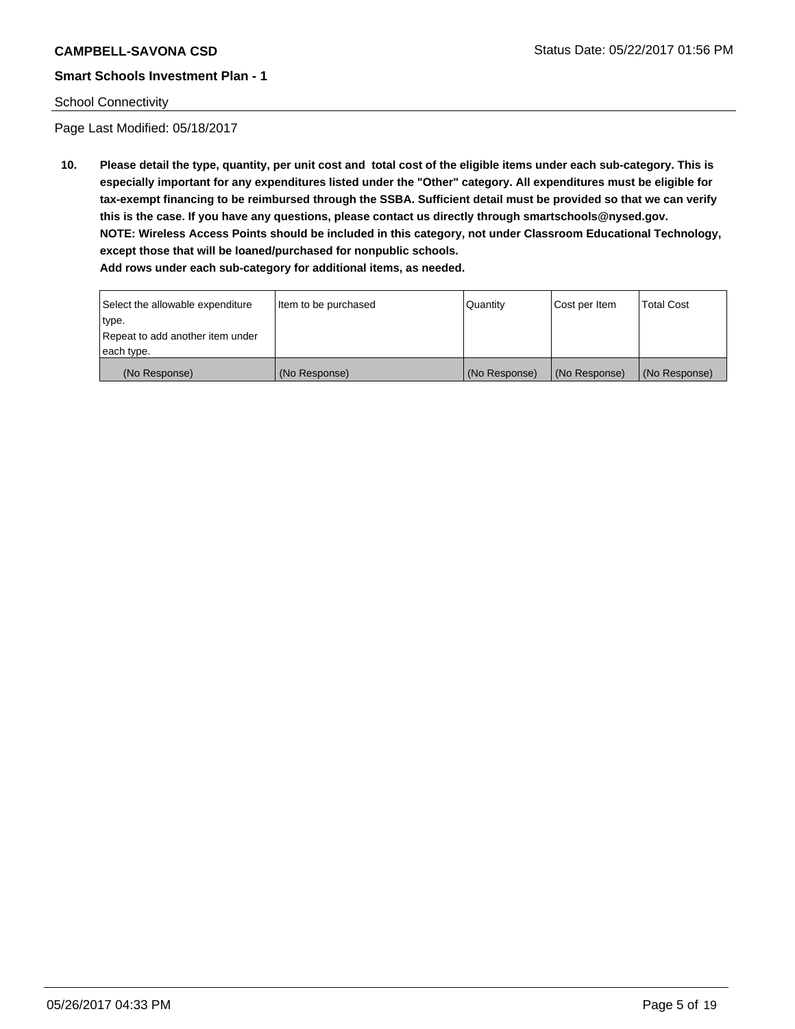## School Connectivity

Page Last Modified: 05/18/2017

**10. Please detail the type, quantity, per unit cost and total cost of the eligible items under each sub-category. This is especially important for any expenditures listed under the "Other" category. All expenditures must be eligible for tax-exempt financing to be reimbursed through the SSBA. Sufficient detail must be provided so that we can verify this is the case. If you have any questions, please contact us directly through smartschools@nysed.gov. NOTE: Wireless Access Points should be included in this category, not under Classroom Educational Technology, except those that will be loaned/purchased for nonpublic schools.**

| Select the allowable expenditure | Item to be purchased | Quantity      | Cost per Item | Total Cost    |
|----------------------------------|----------------------|---------------|---------------|---------------|
| type.                            |                      |               |               |               |
| Repeat to add another item under |                      |               |               |               |
| each type.                       |                      |               |               |               |
| (No Response)                    | (No Response)        | (No Response) | (No Response) | (No Response) |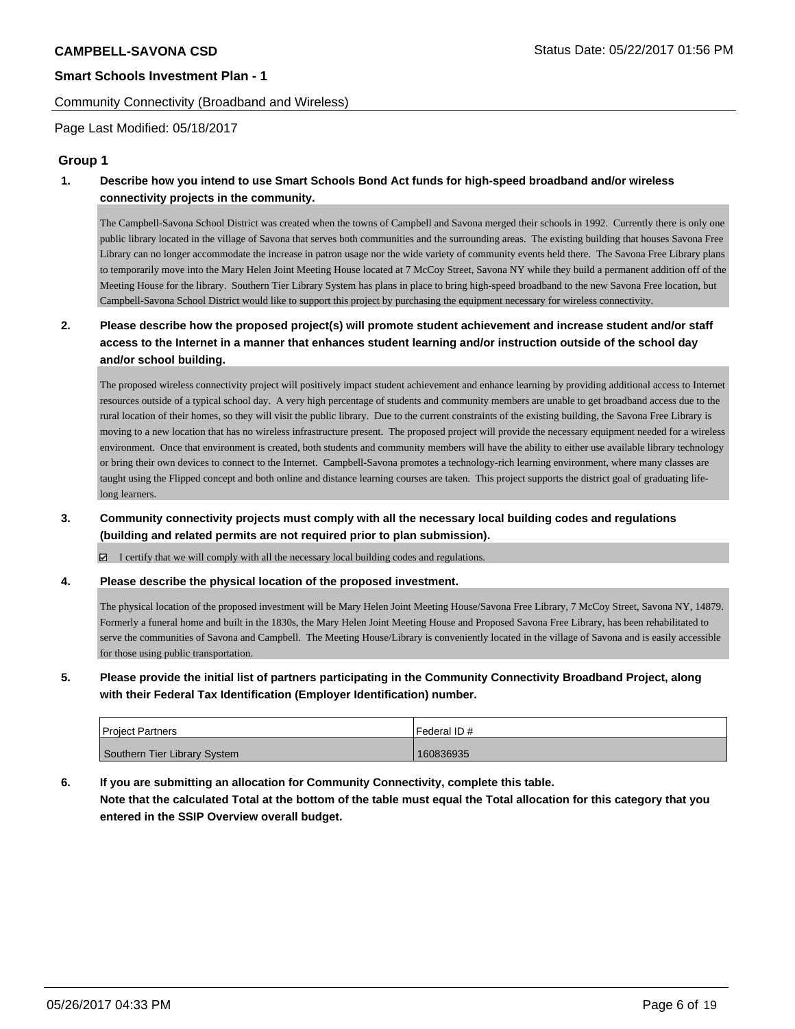Community Connectivity (Broadband and Wireless)

Page Last Modified: 05/18/2017

## **Group 1**

**1. Describe how you intend to use Smart Schools Bond Act funds for high-speed broadband and/or wireless connectivity projects in the community.**

The Campbell-Savona School District was created when the towns of Campbell and Savona merged their schools in 1992. Currently there is only one public library located in the village of Savona that serves both communities and the surrounding areas. The existing building that houses Savona Free Library can no longer accommodate the increase in patron usage nor the wide variety of community events held there. The Savona Free Library plans to temporarily move into the Mary Helen Joint Meeting House located at 7 McCoy Street, Savona NY while they build a permanent addition off of the Meeting House for the library. Southern Tier Library System has plans in place to bring high-speed broadband to the new Savona Free location, but Campbell-Savona School District would like to support this project by purchasing the equipment necessary for wireless connectivity.

# **2. Please describe how the proposed project(s) will promote student achievement and increase student and/or staff access to the Internet in a manner that enhances student learning and/or instruction outside of the school day and/or school building.**

The proposed wireless connectivity project will positively impact student achievement and enhance learning by providing additional access to Internet resources outside of a typical school day. A very high percentage of students and community members are unable to get broadband access due to the rural location of their homes, so they will visit the public library. Due to the current constraints of the existing building, the Savona Free Library is moving to a new location that has no wireless infrastructure present. The proposed project will provide the necessary equipment needed for a wireless environment. Once that environment is created, both students and community members will have the ability to either use available library technology or bring their own devices to connect to the Internet. Campbell-Savona promotes a technology-rich learning environment, where many classes are taught using the Flipped concept and both online and distance learning courses are taken. This project supports the district goal of graduating lifelong learners.

## **3. Community connectivity projects must comply with all the necessary local building codes and regulations (building and related permits are not required prior to plan submission).**

I certify that we will comply with all the necessary local building codes and regulations.

#### **4. Please describe the physical location of the proposed investment.**

The physical location of the proposed investment will be Mary Helen Joint Meeting House/Savona Free Library, 7 McCoy Street, Savona NY, 14879. Formerly a funeral home and built in the 1830s, the Mary Helen Joint Meeting House and Proposed Savona Free Library, has been rehabilitated to serve the communities of Savona and Campbell. The Meeting House/Library is conveniently located in the village of Savona and is easily accessible for those using public transportation.

**5. Please provide the initial list of partners participating in the Community Connectivity Broadband Project, along with their Federal Tax Identification (Employer Identification) number.**

| <b>Project Partners</b>      | l Federal ID # |
|------------------------------|----------------|
| Southern Tier Library System | 160836935      |

**6. If you are submitting an allocation for Community Connectivity, complete this table. Note that the calculated Total at the bottom of the table must equal the Total allocation for this category that you entered in the SSIP Overview overall budget.**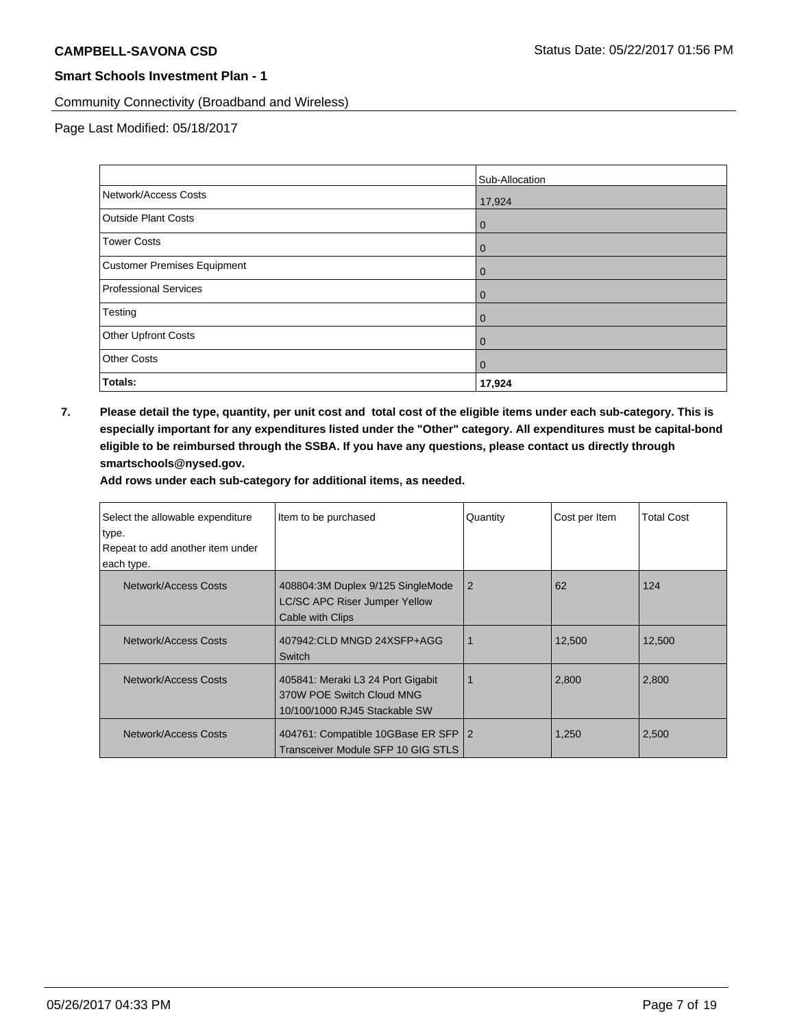Community Connectivity (Broadband and Wireless)

Page Last Modified: 05/18/2017

|                                    | Sub-Allocation |
|------------------------------------|----------------|
| Network/Access Costs               | 17,924         |
| <b>Outside Plant Costs</b>         | $\overline{0}$ |
| <b>Tower Costs</b>                 | $\overline{0}$ |
| <b>Customer Premises Equipment</b> | $\overline{0}$ |
| <b>Professional Services</b>       | $\overline{0}$ |
| Testing                            | $\overline{0}$ |
| Other Upfront Costs                | $\overline{0}$ |
| <b>Other Costs</b>                 | $\overline{0}$ |
| Totals:                            | 17,924         |

**7. Please detail the type, quantity, per unit cost and total cost of the eligible items under each sub-category. This is especially important for any expenditures listed under the "Other" category. All expenditures must be capital-bond eligible to be reimbursed through the SSBA. If you have any questions, please contact us directly through smartschools@nysed.gov.**

| Select the allowable expenditure<br>type.<br>Repeat to add another item under<br>each type. | Item to be purchased                                                                            | Quantity       | Cost per Item | <b>Total Cost</b> |
|---------------------------------------------------------------------------------------------|-------------------------------------------------------------------------------------------------|----------------|---------------|-------------------|
| Network/Access Costs                                                                        | 408804:3M Duplex 9/125 SingleMode<br>LC/SC APC Riser Jumper Yellow<br>Cable with Clips          | $\overline{2}$ | 62            | 124               |
| Network/Access Costs                                                                        | 407942:CLD MNGD 24XSFP+AGG<br>Switch                                                            | 1              | 12,500        | 12,500            |
| Network/Access Costs                                                                        | 405841: Meraki L3 24 Port Gigabit<br>370W POE Switch Cloud MNG<br>10/100/1000 RJ45 Stackable SW |                | 2,800         | 2,800             |
| Network/Access Costs                                                                        | 404761: Compatible 10GBase ER SFP   2<br>Transceiver Module SFP 10 GIG STLS                     |                | 1,250         | 2,500             |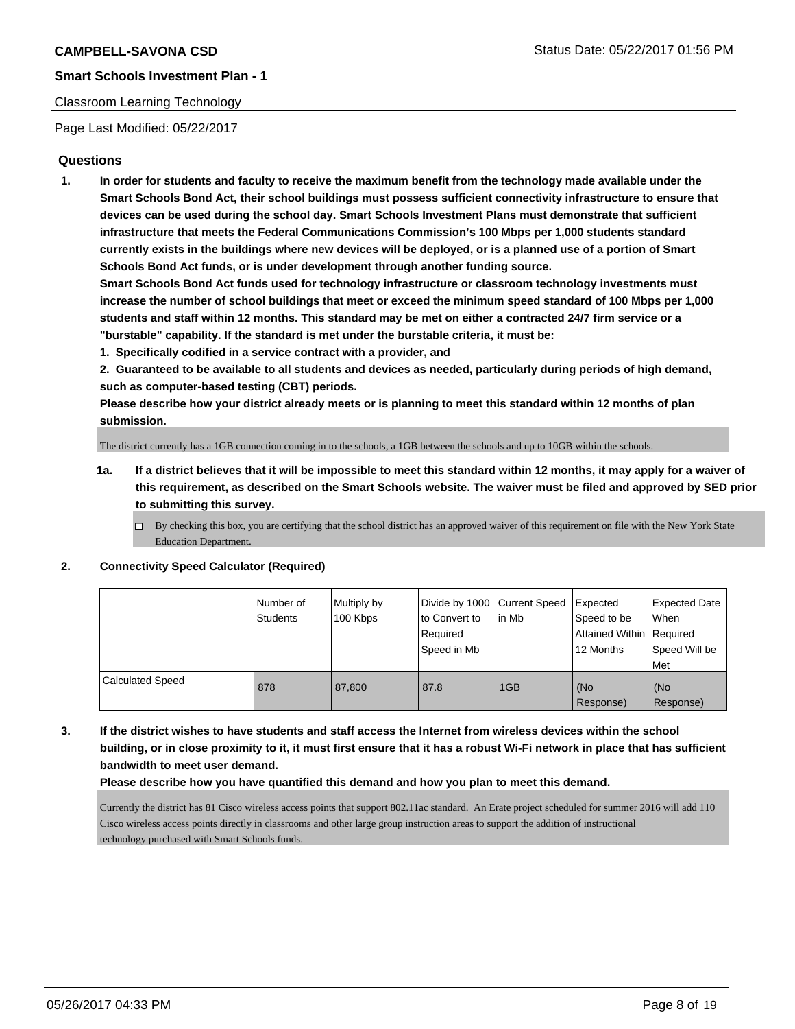## Classroom Learning Technology

Page Last Modified: 05/22/2017

## **Questions**

**1. In order for students and faculty to receive the maximum benefit from the technology made available under the Smart Schools Bond Act, their school buildings must possess sufficient connectivity infrastructure to ensure that devices can be used during the school day. Smart Schools Investment Plans must demonstrate that sufficient infrastructure that meets the Federal Communications Commission's 100 Mbps per 1,000 students standard currently exists in the buildings where new devices will be deployed, or is a planned use of a portion of Smart Schools Bond Act funds, or is under development through another funding source.**

**Smart Schools Bond Act funds used for technology infrastructure or classroom technology investments must increase the number of school buildings that meet or exceed the minimum speed standard of 100 Mbps per 1,000 students and staff within 12 months. This standard may be met on either a contracted 24/7 firm service or a "burstable" capability. If the standard is met under the burstable criteria, it must be:**

**1. Specifically codified in a service contract with a provider, and**

**2. Guaranteed to be available to all students and devices as needed, particularly during periods of high demand, such as computer-based testing (CBT) periods.**

**Please describe how your district already meets or is planning to meet this standard within 12 months of plan submission.**

The district currently has a 1GB connection coming in to the schools, a 1GB between the schools and up to 10GB within the schools.

- **1a. If a district believes that it will be impossible to meet this standard within 12 months, it may apply for a waiver of this requirement, as described on the Smart Schools website. The waiver must be filed and approved by SED prior to submitting this survey.**
	- $\Box$  By checking this box, you are certifying that the school district has an approved waiver of this requirement on file with the New York State Education Department.

#### **2. Connectivity Speed Calculator (Required)**

|                         | Number of<br>Students | Multiply by<br>100 Kbps | Divide by 1000 Current Speed<br>to Convert to<br>Required<br>Speed in Mb | lin Mb | Expected<br>Speed to be<br><b>Attained Within Required</b><br>12 Months | <b>Expected Date</b><br>When<br>Speed Will be<br>Met |
|-------------------------|-----------------------|-------------------------|--------------------------------------------------------------------------|--------|-------------------------------------------------------------------------|------------------------------------------------------|
| <b>Calculated Speed</b> | 878                   | 87.800                  | 87.8                                                                     | 1GB    | (No<br>Response)                                                        | (No<br>Response)                                     |

**3. If the district wishes to have students and staff access the Internet from wireless devices within the school building, or in close proximity to it, it must first ensure that it has a robust Wi-Fi network in place that has sufficient bandwidth to meet user demand.**

#### **Please describe how you have quantified this demand and how you plan to meet this demand.**

Currently the district has 81 Cisco wireless access points that support 802.11ac standard. An Erate project scheduled for summer 2016 will add 110 Cisco wireless access points directly in classrooms and other large group instruction areas to support the addition of instructional technology purchased with Smart Schools funds.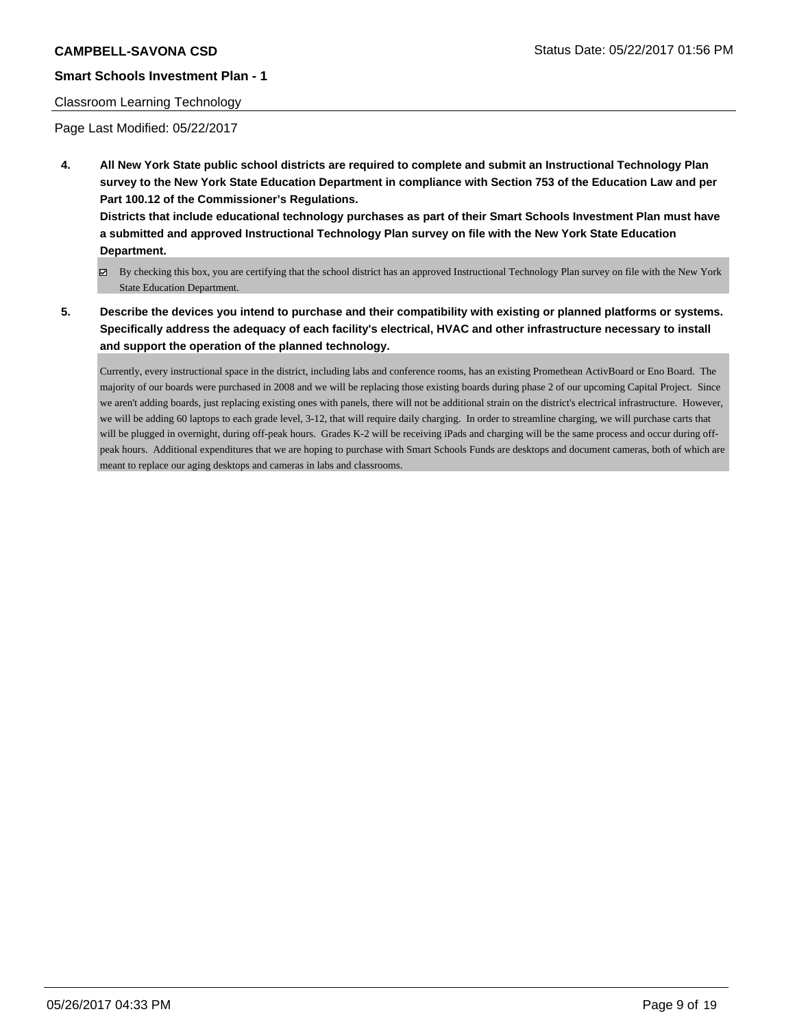### Classroom Learning Technology

Page Last Modified: 05/22/2017

**4. All New York State public school districts are required to complete and submit an Instructional Technology Plan survey to the New York State Education Department in compliance with Section 753 of the Education Law and per Part 100.12 of the Commissioner's Regulations.**

**Districts that include educational technology purchases as part of their Smart Schools Investment Plan must have a submitted and approved Instructional Technology Plan survey on file with the New York State Education Department.**

- By checking this box, you are certifying that the school district has an approved Instructional Technology Plan survey on file with the New York State Education Department.
- **5. Describe the devices you intend to purchase and their compatibility with existing or planned platforms or systems. Specifically address the adequacy of each facility's electrical, HVAC and other infrastructure necessary to install and support the operation of the planned technology.**

Currently, every instructional space in the district, including labs and conference rooms, has an existing Promethean ActivBoard or Eno Board. The majority of our boards were purchased in 2008 and we will be replacing those existing boards during phase 2 of our upcoming Capital Project. Since we aren't adding boards, just replacing existing ones with panels, there will not be additional strain on the district's electrical infrastructure. However, we will be adding 60 laptops to each grade level, 3-12, that will require daily charging. In order to streamline charging, we will purchase carts that will be plugged in overnight, during off-peak hours. Grades K-2 will be receiving iPads and charging will be the same process and occur during offpeak hours. Additional expenditures that we are hoping to purchase with Smart Schools Funds are desktops and document cameras, both of which are meant to replace our aging desktops and cameras in labs and classrooms.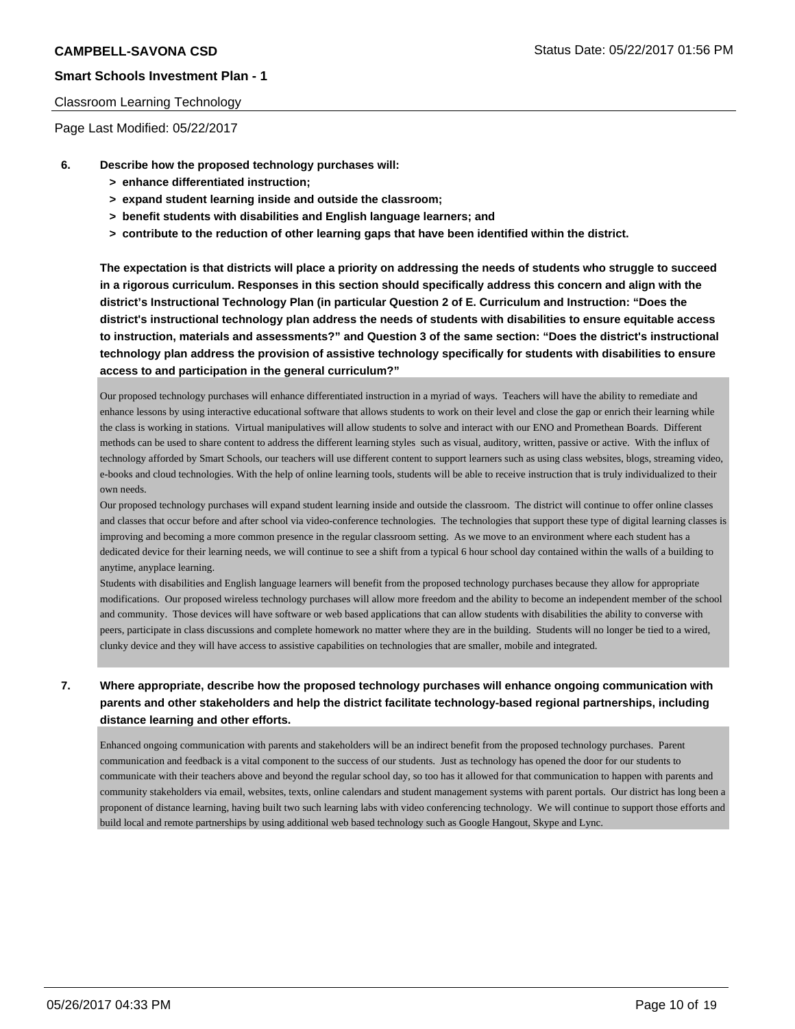#### Classroom Learning Technology

Page Last Modified: 05/22/2017

- **6. Describe how the proposed technology purchases will:**
	- **> enhance differentiated instruction;**
	- **> expand student learning inside and outside the classroom;**
	- **> benefit students with disabilities and English language learners; and**
	- **> contribute to the reduction of other learning gaps that have been identified within the district.**

**The expectation is that districts will place a priority on addressing the needs of students who struggle to succeed in a rigorous curriculum. Responses in this section should specifically address this concern and align with the district's Instructional Technology Plan (in particular Question 2 of E. Curriculum and Instruction: "Does the district's instructional technology plan address the needs of students with disabilities to ensure equitable access to instruction, materials and assessments?" and Question 3 of the same section: "Does the district's instructional technology plan address the provision of assistive technology specifically for students with disabilities to ensure access to and participation in the general curriculum?"**

Our proposed technology purchases will enhance differentiated instruction in a myriad of ways. Teachers will have the ability to remediate and enhance lessons by using interactive educational software that allows students to work on their level and close the gap or enrich their learning while the class is working in stations. Virtual manipulatives will allow students to solve and interact with our ENO and Promethean Boards. Different methods can be used to share content to address the different learning styles such as visual, auditory, written, passive or active. With the influx of technology afforded by Smart Schools, our teachers will use different content to support learners such as using class websites, blogs, streaming video, e-books and cloud technologies. With the help of online learning tools, students will be able to receive instruction that is truly individualized to their own needs.

Our proposed technology purchases will expand student learning inside and outside the classroom. The district will continue to offer online classes and classes that occur before and after school via video-conference technologies. The technologies that support these type of digital learning classes is improving and becoming a more common presence in the regular classroom setting. As we move to an environment where each student has a dedicated device for their learning needs, we will continue to see a shift from a typical 6 hour school day contained within the walls of a building to anytime, anyplace learning.

Students with disabilities and English language learners will benefit from the proposed technology purchases because they allow for appropriate modifications. Our proposed wireless technology purchases will allow more freedom and the ability to become an independent member of the school and community. Those devices will have software or web based applications that can allow students with disabilities the ability to converse with peers, participate in class discussions and complete homework no matter where they are in the building. Students will no longer be tied to a wired, clunky device and they will have access to assistive capabilities on technologies that are smaller, mobile and integrated.

## **7. Where appropriate, describe how the proposed technology purchases will enhance ongoing communication with parents and other stakeholders and help the district facilitate technology-based regional partnerships, including distance learning and other efforts.**

Enhanced ongoing communication with parents and stakeholders will be an indirect benefit from the proposed technology purchases. Parent communication and feedback is a vital component to the success of our students. Just as technology has opened the door for our students to communicate with their teachers above and beyond the regular school day, so too has it allowed for that communication to happen with parents and community stakeholders via email, websites, texts, online calendars and student management systems with parent portals. Our district has long been a proponent of distance learning, having built two such learning labs with video conferencing technology. We will continue to support those efforts and build local and remote partnerships by using additional web based technology such as Google Hangout, Skype and Lync.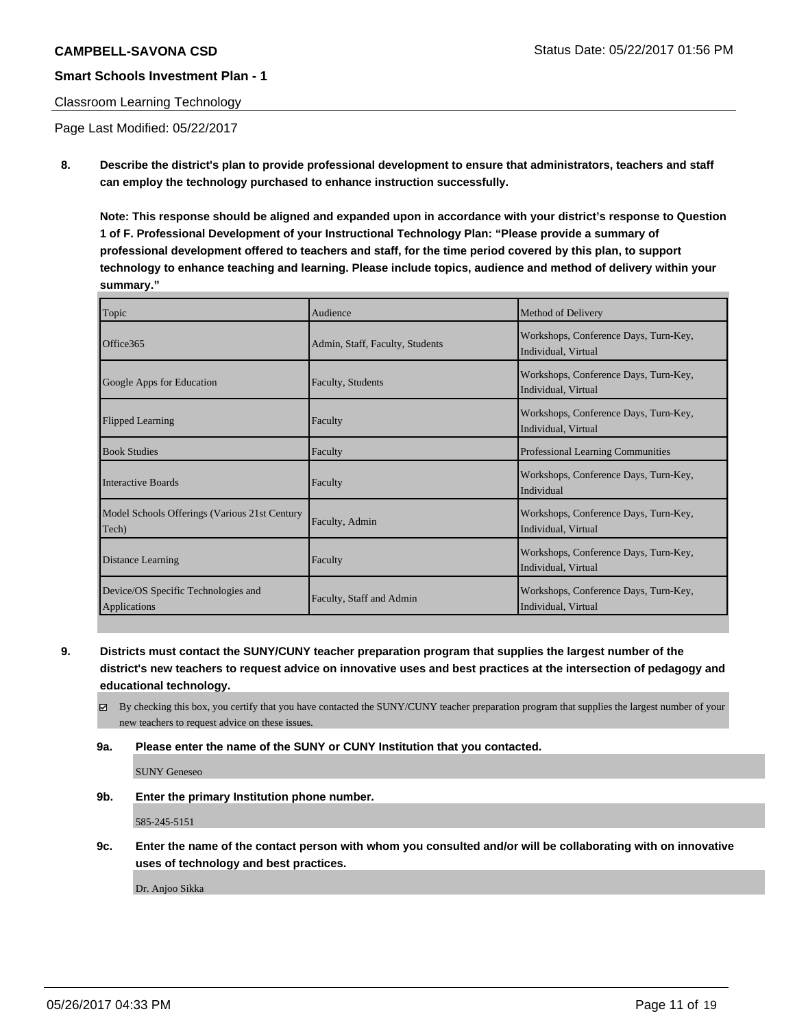### Classroom Learning Technology

Page Last Modified: 05/22/2017

**8. Describe the district's plan to provide professional development to ensure that administrators, teachers and staff can employ the technology purchased to enhance instruction successfully.**

**Note: This response should be aligned and expanded upon in accordance with your district's response to Question 1 of F. Professional Development of your Instructional Technology Plan: "Please provide a summary of professional development offered to teachers and staff, for the time period covered by this plan, to support technology to enhance teaching and learning. Please include topics, audience and method of delivery within your summary."**

| Topic                                                  | Audience                        | Method of Delivery                                           |
|--------------------------------------------------------|---------------------------------|--------------------------------------------------------------|
| Office365                                              | Admin, Staff, Faculty, Students | Workshops, Conference Days, Turn-Key,<br>Individual, Virtual |
| Google Apps for Education                              | Faculty, Students               | Workshops, Conference Days, Turn-Key,<br>Individual, Virtual |
| <b>Flipped Learning</b>                                | Faculty                         | Workshops, Conference Days, Turn-Key,<br>Individual, Virtual |
| <b>Book Studies</b>                                    | Faculty                         | Professional Learning Communities                            |
| <b>Interactive Boards</b>                              | Faculty                         | Workshops, Conference Days, Turn-Key,<br>Individual          |
| Model Schools Offerings (Various 21st Century<br>Tech) | Faculty, Admin                  | Workshops, Conference Days, Turn-Key,<br>Individual, Virtual |
| Distance Learning                                      | Faculty                         | Workshops, Conference Days, Turn-Key,<br>Individual, Virtual |
| Device/OS Specific Technologies and<br>Applications    | Faculty, Staff and Admin        | Workshops, Conference Days, Turn-Key,<br>Individual, Virtual |

- **9. Districts must contact the SUNY/CUNY teacher preparation program that supplies the largest number of the district's new teachers to request advice on innovative uses and best practices at the intersection of pedagogy and educational technology.**
	- By checking this box, you certify that you have contacted the SUNY/CUNY teacher preparation program that supplies the largest number of your new teachers to request advice on these issues.
	- **9a. Please enter the name of the SUNY or CUNY Institution that you contacted.**

SUNY Geneseo

**9b. Enter the primary Institution phone number.**

585-245-5151

**9c. Enter the name of the contact person with whom you consulted and/or will be collaborating with on innovative uses of technology and best practices.**

Dr. Anjoo Sikka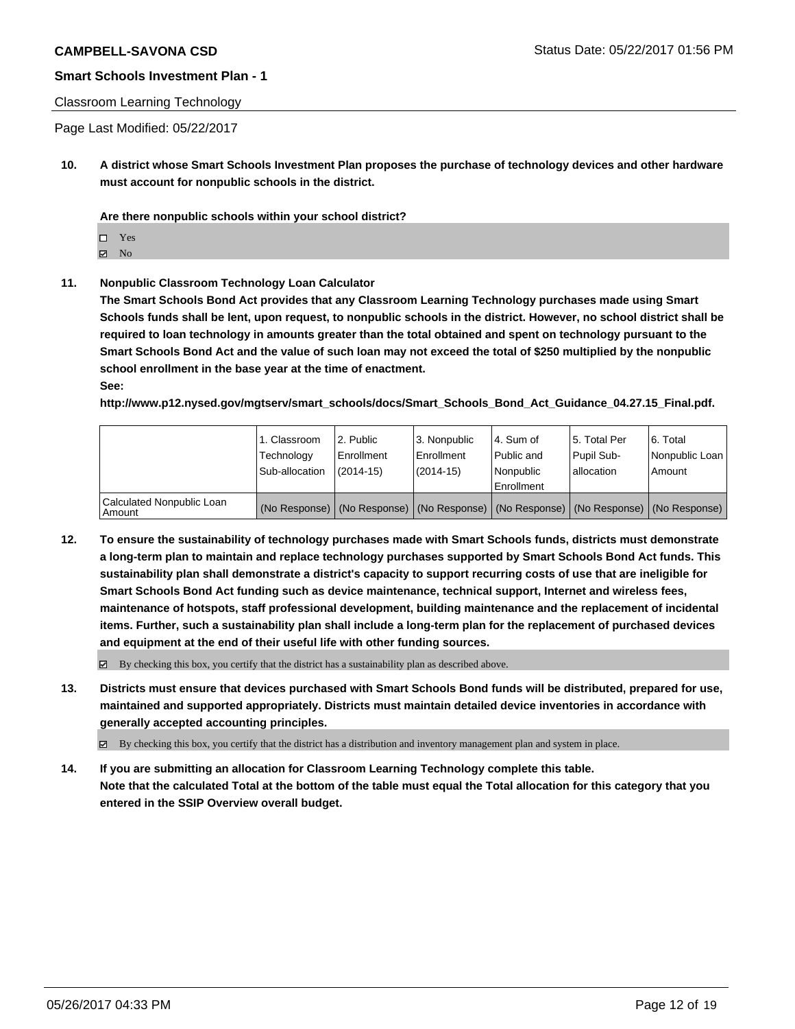#### Classroom Learning Technology

Page Last Modified: 05/22/2017

**10. A district whose Smart Schools Investment Plan proposes the purchase of technology devices and other hardware must account for nonpublic schools in the district.**

**Are there nonpublic schools within your school district?**

Yes

 $\boxtimes$  No

**11. Nonpublic Classroom Technology Loan Calculator**

**The Smart Schools Bond Act provides that any Classroom Learning Technology purchases made using Smart Schools funds shall be lent, upon request, to nonpublic schools in the district. However, no school district shall be required to loan technology in amounts greater than the total obtained and spent on technology pursuant to the Smart Schools Bond Act and the value of such loan may not exceed the total of \$250 multiplied by the nonpublic school enrollment in the base year at the time of enactment. See:**

**http://www.p12.nysed.gov/mgtserv/smart\_schools/docs/Smart\_Schools\_Bond\_Act\_Guidance\_04.27.15\_Final.pdf.**

|                                       | 1. Classroom<br>Technology<br>Sub-allocation | l 2. Public<br>Enrollment<br>$(2014-15)$ | 3. Nonpublic<br>l Enrollment<br>$(2014-15)$ | l 4. Sum of<br>Public and<br>l Nonpublic<br>Enrollment                                        | 15. Total Per<br>Pupil Sub-<br>lallocation | l 6. Total<br>Nonpublic Loan<br>Amount |
|---------------------------------------|----------------------------------------------|------------------------------------------|---------------------------------------------|-----------------------------------------------------------------------------------------------|--------------------------------------------|----------------------------------------|
| Calculated Nonpublic Loan<br>l Amount |                                              |                                          |                                             | (No Response)   (No Response)   (No Response)   (No Response)   (No Response)   (No Response) |                                            |                                        |

**12. To ensure the sustainability of technology purchases made with Smart Schools funds, districts must demonstrate a long-term plan to maintain and replace technology purchases supported by Smart Schools Bond Act funds. This sustainability plan shall demonstrate a district's capacity to support recurring costs of use that are ineligible for Smart Schools Bond Act funding such as device maintenance, technical support, Internet and wireless fees, maintenance of hotspots, staff professional development, building maintenance and the replacement of incidental items. Further, such a sustainability plan shall include a long-term plan for the replacement of purchased devices and equipment at the end of their useful life with other funding sources.**

 $\boxtimes$  By checking this box, you certify that the district has a sustainability plan as described above.

**13. Districts must ensure that devices purchased with Smart Schools Bond funds will be distributed, prepared for use, maintained and supported appropriately. Districts must maintain detailed device inventories in accordance with generally accepted accounting principles.**

By checking this box, you certify that the district has a distribution and inventory management plan and system in place.

**14. If you are submitting an allocation for Classroom Learning Technology complete this table. Note that the calculated Total at the bottom of the table must equal the Total allocation for this category that you entered in the SSIP Overview overall budget.**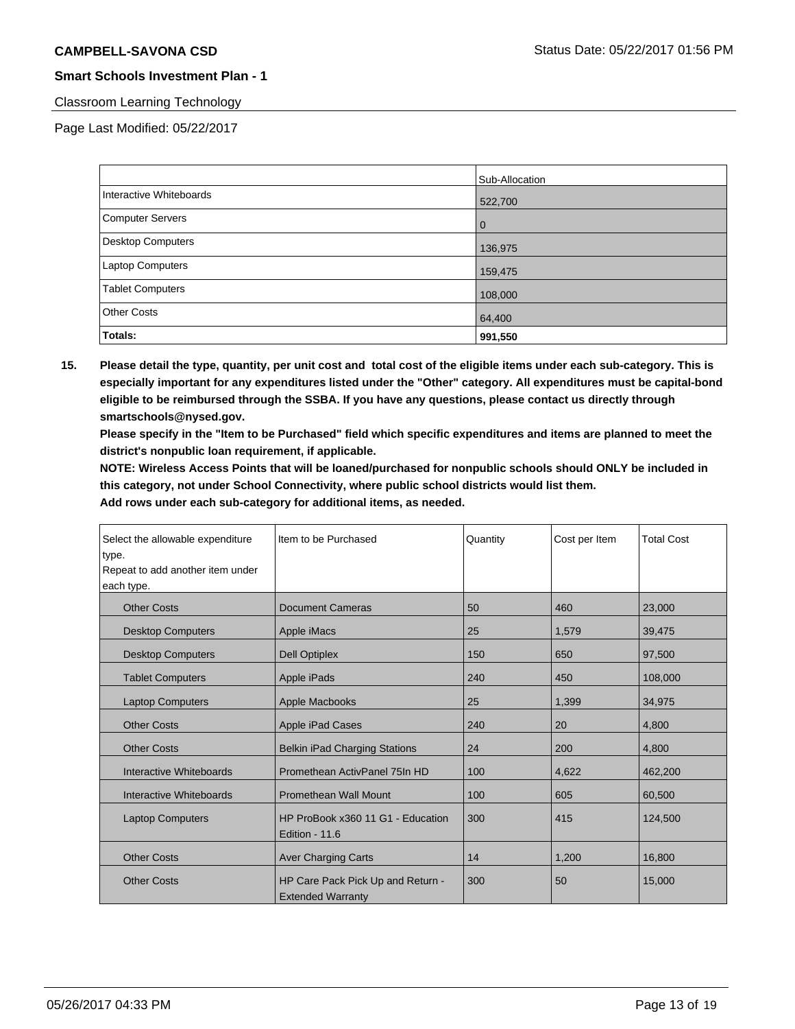### Classroom Learning Technology

Page Last Modified: 05/22/2017

|                         | Sub-Allocation |
|-------------------------|----------------|
| Interactive Whiteboards | 522,700        |
| Computer Servers        | 0              |
| Desktop Computers       | 136,975        |
| <b>Laptop Computers</b> | 159,475        |
| <b>Tablet Computers</b> | 108,000        |
| <b>Other Costs</b>      | 64,400         |
| Totals:                 | 991,550        |

**15. Please detail the type, quantity, per unit cost and total cost of the eligible items under each sub-category. This is especially important for any expenditures listed under the "Other" category. All expenditures must be capital-bond eligible to be reimbursed through the SSBA. If you have any questions, please contact us directly through smartschools@nysed.gov.**

**Please specify in the "Item to be Purchased" field which specific expenditures and items are planned to meet the district's nonpublic loan requirement, if applicable.**

**NOTE: Wireless Access Points that will be loaned/purchased for nonpublic schools should ONLY be included in this category, not under School Connectivity, where public school districts would list them.**

| Select the allowable expenditure<br>type. | Item to be Purchased                                          | Quantity | Cost per Item | <b>Total Cost</b> |
|-------------------------------------------|---------------------------------------------------------------|----------|---------------|-------------------|
| Repeat to add another item under          |                                                               |          |               |                   |
| each type.                                |                                                               |          |               |                   |
| <b>Other Costs</b>                        | <b>Document Cameras</b>                                       | 50       | 460           | 23,000            |
| <b>Desktop Computers</b>                  | Apple iMacs                                                   | 25       | 1,579         | 39,475            |
| <b>Desktop Computers</b>                  | <b>Dell Optiplex</b>                                          | 150      | 650           | 97,500            |
| <b>Tablet Computers</b>                   | Apple iPads                                                   | 240      | 450           | 108,000           |
| <b>Laptop Computers</b>                   | Apple Macbooks                                                | 25       | 1,399         | 34,975            |
| <b>Other Costs</b>                        | Apple iPad Cases                                              | 240      | 20            | 4,800             |
| <b>Other Costs</b>                        | <b>Belkin iPad Charging Stations</b>                          | 24       | 200           | 4,800             |
| Interactive Whiteboards                   | Promethean ActivPanel 75In HD                                 | 100      | 4,622         | 462,200           |
| Interactive Whiteboards                   | <b>Promethean Wall Mount</b>                                  | 100      | 605           | 60,500            |
| <b>Laptop Computers</b>                   | HP ProBook x360 11 G1 - Education<br><b>Edition - 11.6</b>    | 300      | 415           | 124.500           |
| <b>Other Costs</b>                        | <b>Aver Charging Carts</b>                                    | 14       | 1,200         | 16,800            |
| <b>Other Costs</b>                        | HP Care Pack Pick Up and Return -<br><b>Extended Warranty</b> | 300      | 50            | 15,000            |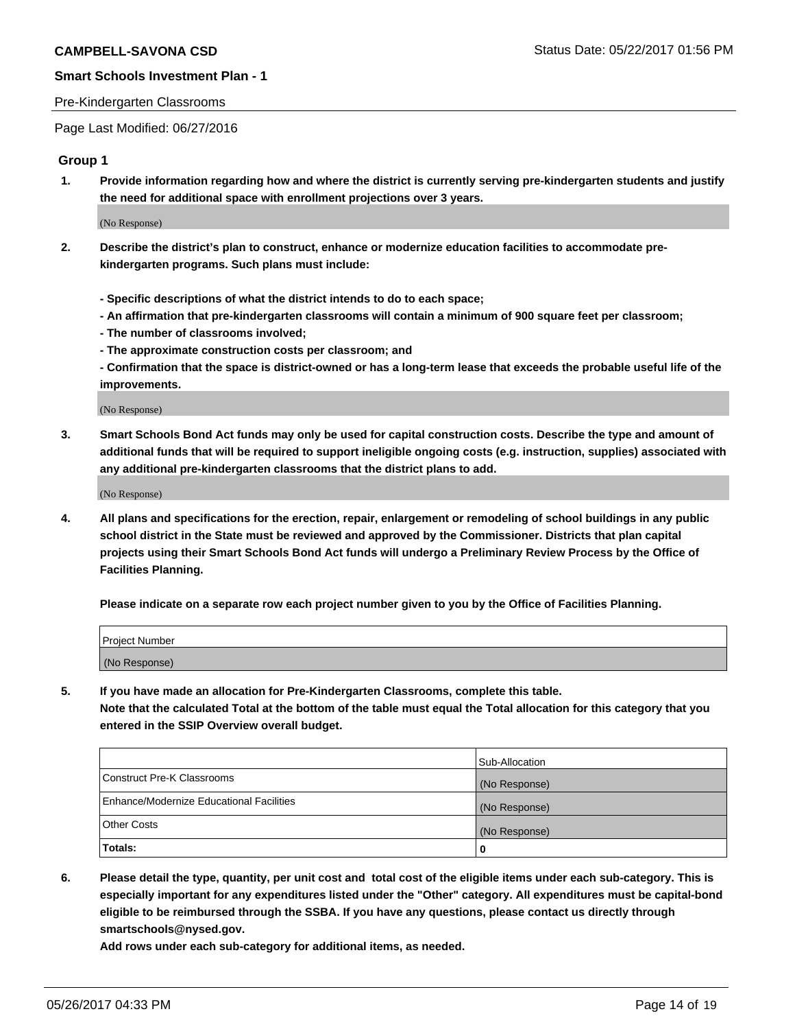#### Pre-Kindergarten Classrooms

Page Last Modified: 06/27/2016

## **Group 1**

**1. Provide information regarding how and where the district is currently serving pre-kindergarten students and justify the need for additional space with enrollment projections over 3 years.**

(No Response)

- **2. Describe the district's plan to construct, enhance or modernize education facilities to accommodate prekindergarten programs. Such plans must include:**
	- **Specific descriptions of what the district intends to do to each space;**
	- **An affirmation that pre-kindergarten classrooms will contain a minimum of 900 square feet per classroom;**
	- **The number of classrooms involved;**
	- **The approximate construction costs per classroom; and**
	- **Confirmation that the space is district-owned or has a long-term lease that exceeds the probable useful life of the improvements.**

(No Response)

**3. Smart Schools Bond Act funds may only be used for capital construction costs. Describe the type and amount of additional funds that will be required to support ineligible ongoing costs (e.g. instruction, supplies) associated with any additional pre-kindergarten classrooms that the district plans to add.**

(No Response)

**4. All plans and specifications for the erection, repair, enlargement or remodeling of school buildings in any public school district in the State must be reviewed and approved by the Commissioner. Districts that plan capital projects using their Smart Schools Bond Act funds will undergo a Preliminary Review Process by the Office of Facilities Planning.**

**Please indicate on a separate row each project number given to you by the Office of Facilities Planning.**

| Project Number |  |
|----------------|--|
| (No Response)  |  |

**5. If you have made an allocation for Pre-Kindergarten Classrooms, complete this table. Note that the calculated Total at the bottom of the table must equal the Total allocation for this category that you entered in the SSIP Overview overall budget.**

| Totals:                                  | 0              |
|------------------------------------------|----------------|
| Other Costs                              | (No Response)  |
| Enhance/Modernize Educational Facilities | (No Response)  |
| Construct Pre-K Classrooms               | (No Response)  |
|                                          | Sub-Allocation |

**6. Please detail the type, quantity, per unit cost and total cost of the eligible items under each sub-category. This is especially important for any expenditures listed under the "Other" category. All expenditures must be capital-bond eligible to be reimbursed through the SSBA. If you have any questions, please contact us directly through smartschools@nysed.gov.**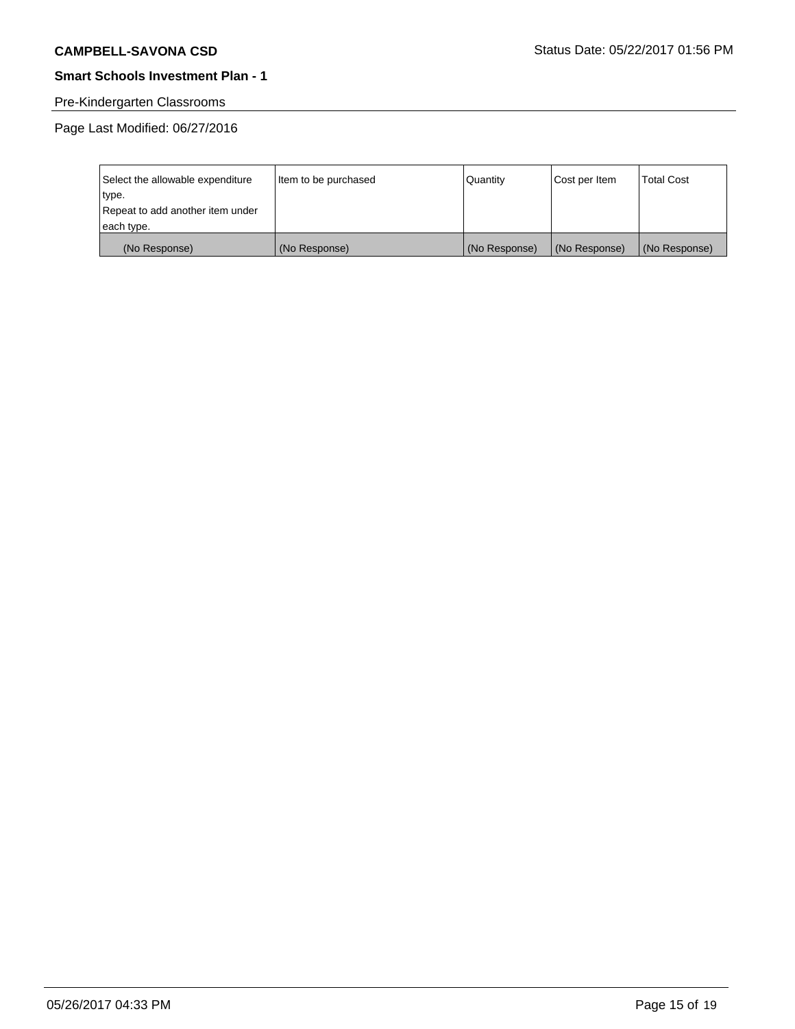# Pre-Kindergarten Classrooms

Page Last Modified: 06/27/2016

| Select the allowable expenditure | Item to be purchased | Quantity      | Cost per Item | <b>Total Cost</b> |
|----------------------------------|----------------------|---------------|---------------|-------------------|
| type.                            |                      |               |               |                   |
| Repeat to add another item under |                      |               |               |                   |
| each type.                       |                      |               |               |                   |
| (No Response)                    | (No Response)        | (No Response) | (No Response) | (No Response)     |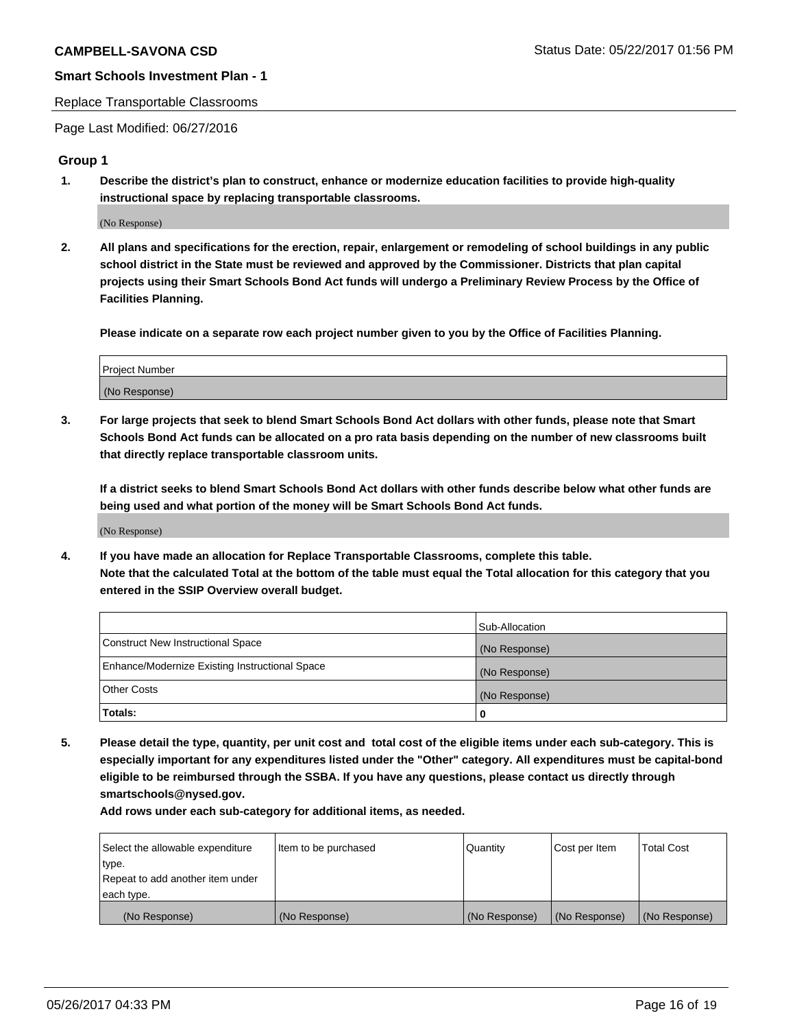#### Replace Transportable Classrooms

Page Last Modified: 06/27/2016

## **Group 1**

**1. Describe the district's plan to construct, enhance or modernize education facilities to provide high-quality instructional space by replacing transportable classrooms.**

(No Response)

**2. All plans and specifications for the erection, repair, enlargement or remodeling of school buildings in any public school district in the State must be reviewed and approved by the Commissioner. Districts that plan capital projects using their Smart Schools Bond Act funds will undergo a Preliminary Review Process by the Office of Facilities Planning.**

**Please indicate on a separate row each project number given to you by the Office of Facilities Planning.**

| Project Number |  |
|----------------|--|
| (No Response)  |  |

**3. For large projects that seek to blend Smart Schools Bond Act dollars with other funds, please note that Smart Schools Bond Act funds can be allocated on a pro rata basis depending on the number of new classrooms built that directly replace transportable classroom units.**

**If a district seeks to blend Smart Schools Bond Act dollars with other funds describe below what other funds are being used and what portion of the money will be Smart Schools Bond Act funds.**

(No Response)

**4. If you have made an allocation for Replace Transportable Classrooms, complete this table. Note that the calculated Total at the bottom of the table must equal the Total allocation for this category that you entered in the SSIP Overview overall budget.**

|                                                | Sub-Allocation |
|------------------------------------------------|----------------|
| Construct New Instructional Space              | (No Response)  |
| Enhance/Modernize Existing Instructional Space | (No Response)  |
| Other Costs                                    | (No Response)  |
| Totals:                                        | 0              |

**5. Please detail the type, quantity, per unit cost and total cost of the eligible items under each sub-category. This is especially important for any expenditures listed under the "Other" category. All expenditures must be capital-bond eligible to be reimbursed through the SSBA. If you have any questions, please contact us directly through smartschools@nysed.gov.**

| Select the allowable expenditure | Item to be purchased | Quantity      | Cost per Item | <b>Total Cost</b> |
|----------------------------------|----------------------|---------------|---------------|-------------------|
| type.                            |                      |               |               |                   |
| Repeat to add another item under |                      |               |               |                   |
| each type.                       |                      |               |               |                   |
| (No Response)                    | (No Response)        | (No Response) | (No Response) | (No Response)     |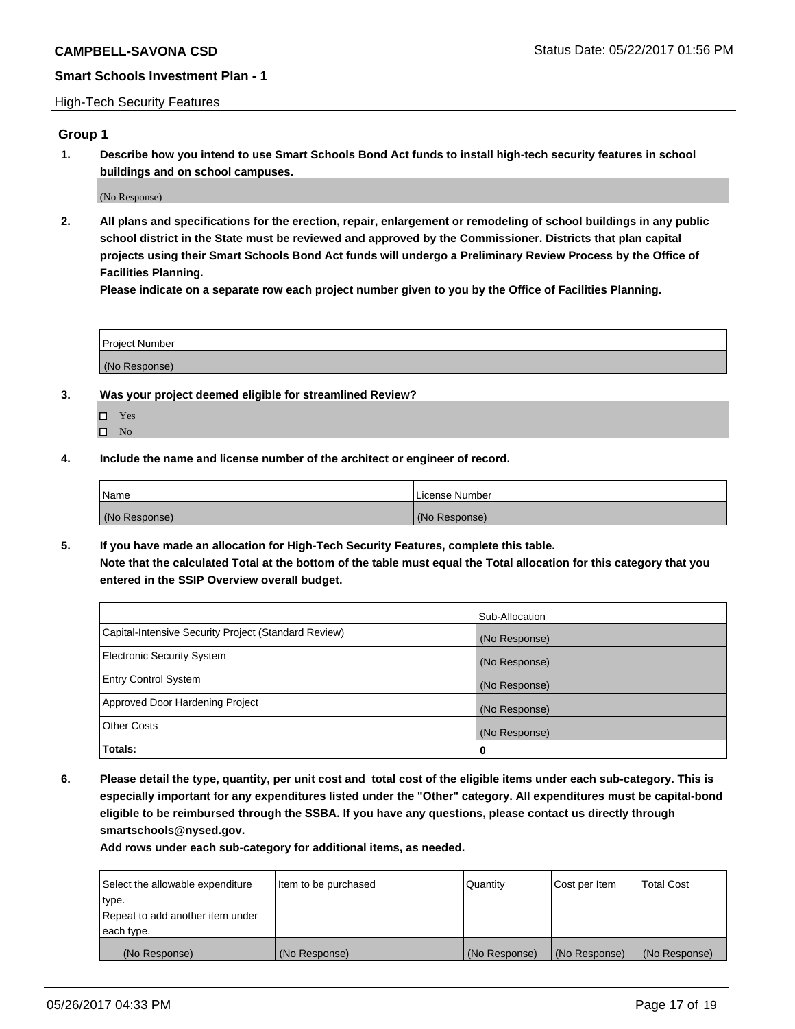#### High-Tech Security Features

## **Group 1**

**1. Describe how you intend to use Smart Schools Bond Act funds to install high-tech security features in school buildings and on school campuses.**

(No Response)

**2. All plans and specifications for the erection, repair, enlargement or remodeling of school buildings in any public school district in the State must be reviewed and approved by the Commissioner. Districts that plan capital projects using their Smart Schools Bond Act funds will undergo a Preliminary Review Process by the Office of Facilities Planning.** 

**Please indicate on a separate row each project number given to you by the Office of Facilities Planning.**

| <b>Project Number</b> |  |
|-----------------------|--|
| (No Response)         |  |

- **3. Was your project deemed eligible for streamlined Review?**
	- Yes  $\square$  No
- **4. Include the name and license number of the architect or engineer of record.**

| <b>Name</b>   | License Number |
|---------------|----------------|
| (No Response) | (No Response)  |

**5. If you have made an allocation for High-Tech Security Features, complete this table. Note that the calculated Total at the bottom of the table must equal the Total allocation for this category that you entered in the SSIP Overview overall budget.**

|                                                      | Sub-Allocation |
|------------------------------------------------------|----------------|
| Capital-Intensive Security Project (Standard Review) | (No Response)  |
| <b>Electronic Security System</b>                    | (No Response)  |
| <b>Entry Control System</b>                          | (No Response)  |
| Approved Door Hardening Project                      | (No Response)  |
| <b>Other Costs</b>                                   | (No Response)  |
| Totals:                                              | 0              |

**6. Please detail the type, quantity, per unit cost and total cost of the eligible items under each sub-category. This is especially important for any expenditures listed under the "Other" category. All expenditures must be capital-bond eligible to be reimbursed through the SSBA. If you have any questions, please contact us directly through smartschools@nysed.gov.**

| Select the allowable expenditure | Item to be purchased | Quantity      | Cost per Item | <b>Total Cost</b> |
|----------------------------------|----------------------|---------------|---------------|-------------------|
| type.                            |                      |               |               |                   |
| Repeat to add another item under |                      |               |               |                   |
| each type.                       |                      |               |               |                   |
| (No Response)                    | (No Response)        | (No Response) | (No Response) | (No Response)     |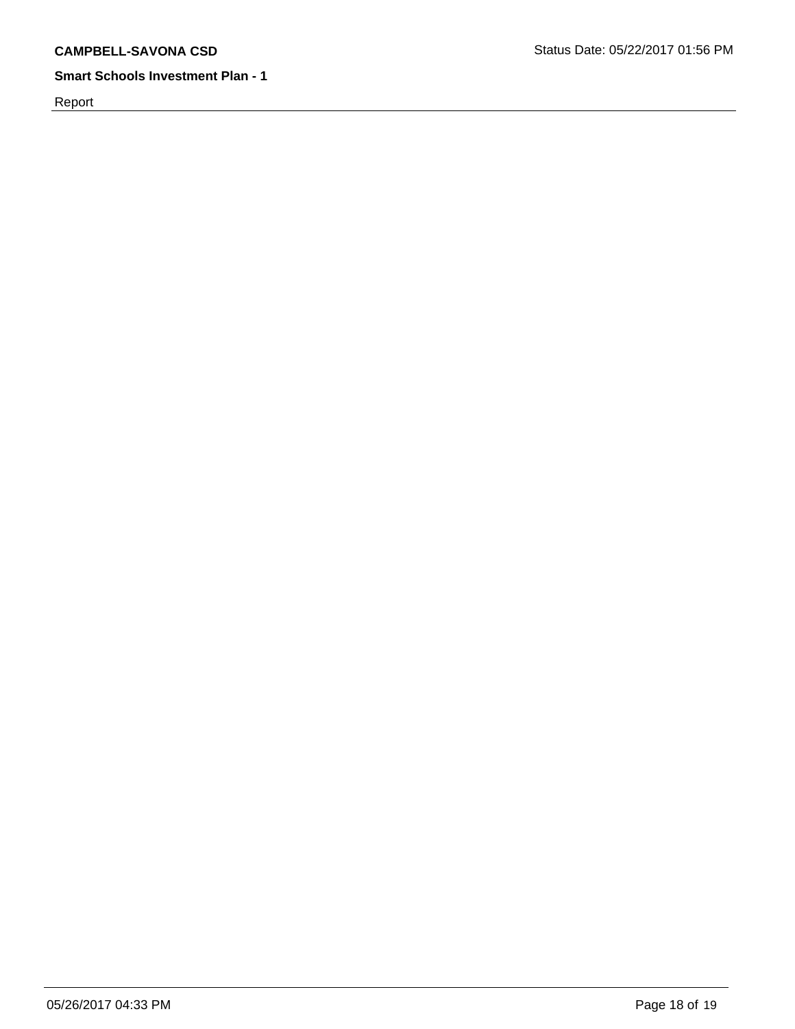Report